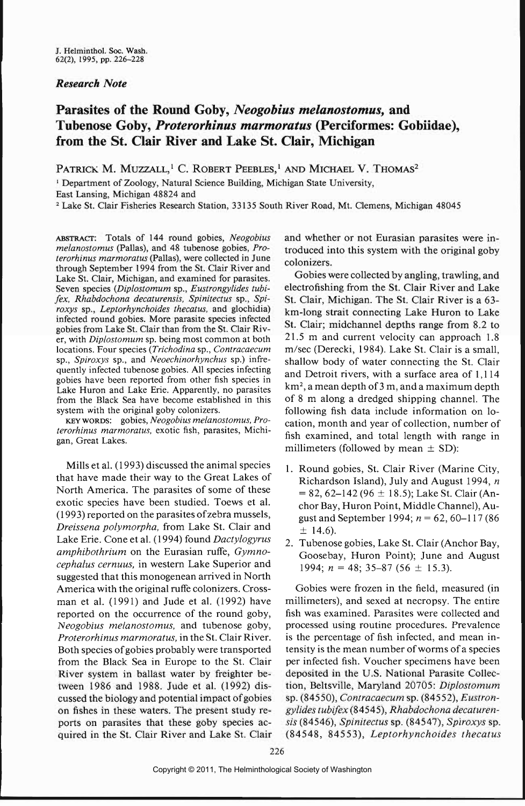## *Research Note*

## **Parasites of the Round Goby,** *Neogobius melanostomus,* **and Tubenose Goby,** *Proterorhinus marmoratus* **(Perciformes: Gobiidae), from the St. Clair River and Lake St. Clair, Michigan**

PATRICK M. MUZZALL,<sup>1</sup> C. ROBERT PEEBLES,<sup>1</sup> AND MICHAEL V. THOMAS<sup>2</sup>

<sup>1</sup> Department of Zoology, Natural Science Building, Michigan State University, East Lansing, Michigan 48824 and

<sup>2</sup> Lake St. Clair Fisheries Research Station, 33135 South River Road, Mt. Clemens, Michigan 48045

ABSTRACT: Totals of 144 round gobies, *Neogobius melanostomus* (Pallas), and 48 tubenose gobies, *Proterorhinus marmoratus* (Pallas), were collected in June through September 1994 from the St. Clair River and Lake St. Clair, Michigan, and examined for parasites. Seven species *(Diplostomum* sp., *Eustrongylides tubifex, Rhabdochona decaturensis, Spinitectus* sp., *Spiroxys* sp., *Leptorhynchoides thecatus,* and glochidia) infected round gobies. More parasite species infected gobies from Lake St. Clair than from the St. Clair River, with *Diplostomum* sp. being most common at both locations. Four species *(Trichodina* sp., *Contracaecum* sp., *Spiroxys* sp., and *Neoechinorhynchus* sp.) infrequently infected tubenose gobies. All species infecting gobies have been reported from other fish species in Lake Huron and Lake Erie. Apparently, no parasites from the Black Sea have become established in this system with the original goby colonizers.

KEY WORDS: gobies, *Neogobius melanostomus, Proterorhinus marmoratus,* exotic fish, parasites, Michigan, Great Lakes.

Mills et al. (1993) discussed the animal species that have made their way to the Great Lakes of North America. The parasites of some of these exotic species have been studied. Toews et al. (1993) reported on the parasites of zebra mussels, *Dreissena polymorpha,* from Lake St. Clair and Lake Erie. Cone et al. (1994) found *Dactylogyrus amphibothrium* on the Eurasian ruffe, *Gymnocephalus cernuus,* in western Lake Superior and suggested that this monogenean arrived in North America with the original ruffe colonizers. Crossman et al. (1991) and Jude et al. (1992) have reported on the occurrence of the round goby, *Neogobius melanostomus,* and tubenose goby, *Proterorhinus marmoratus,* in the St. Clair River. Both species of gobies probably were transported from the Black Sea in Europe to the St. Clair River system in ballast water by freighter between 1986 and 1988. Jude et al. (1992) discussed the biology and potential impact of gobies on fishes in these waters. The present study reports on parasites that these goby species acquired in the St. Clair River and Lake St. Clair and whether or not Eurasian parasites were introduced into this system with the original goby colonizers.

Gobies were collected by angling, trawling, and electrofishing from the St. Clair River and Lake St. Clair, Michigan. The St. Clair River is a 63 km-long strait connecting Lake Huron to Lake St. Clair; midchannel depths range from 8.2 to 21.5 m and current velocity can approach 1.8 m/sec (Derecki, 1984). Lake St. Clair is a small, shallow body of water connecting the St. Clair and Detroit rivers, with a surface area of 1,114 km2, a mean depth of 3 m, and a maximum depth of 8 m along a dredged shipping channel. The following fish data include information on location, month and year of collection, number of fish examined, and total length with range in millimeters (followed by mean  $\pm$  SD):

- 1. Round gobies, St. Clair River (Marine City, Richardson Island), July and August 1994, *n =* 82, 62-142 (96 ± 18.5); Lake St. Clair (Anchor Bay, Huron Point, Middle Channel), August and September 1994; *n =* 62, 60-117 (86  $±$  14.6).
- 2. Tubenose gobies, Lake St. Clair (Anchor Bay, Goosebay, Huron Point); June and August 1994; *n =* 48; 35-87 (56 ± 15.3).

Gobies were frozen in the field, measured (in millimeters), and sexed at necropsy. The entire fish was examined. Parasites were collected and processed using routine procedures. Prevalence is the percentage of fish infected, and mean intensity is the mean number of worms of a species per infected fish. Voucher specimens have been deposited in the U.S. National Parasite Collection, Beltsville, Maryland 20705: *Diplostomum* sp. (84550), *Contracaecum* sp. (84552), *Eustrongylides tubifex* (84545), *Rhabdochona decaturensis* (84546), *Spinitectus* sp. (84547), *Spiroxys* sp. (84548, 84553), *Leptorhynchoides thecatus*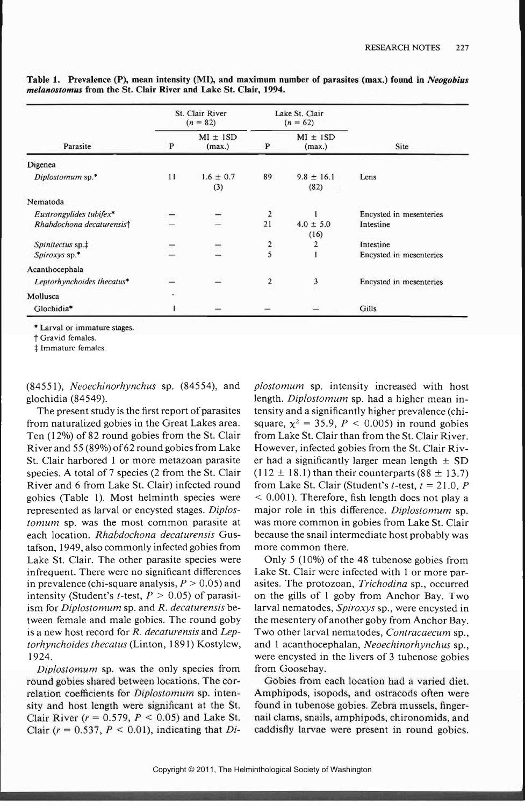| Parasite                   | St. Clair River<br>$(n = 82)$ |                        | Lake St. Clair<br>$(n = 62)$ |                        |                         |
|----------------------------|-------------------------------|------------------------|------------------------------|------------------------|-------------------------|
|                            | ${\bf P}$                     | $MI \pm 1SD$<br>(max.) | $\mathbf{P}$                 | $MI \pm 1SD$<br>(max.) | Site                    |
| Digenea                    |                               |                        |                              |                        |                         |
| Diplostomum sp.*           | 11                            | $1.6 \pm 0.7$<br>(3)   | 89                           | $9.8 \pm 16.1$<br>(82) | Lens                    |
| Nematoda                   |                               |                        |                              |                        |                         |
| Eustrongylides tubifex*    |                               |                        | $\overline{2}$               |                        | Encysted in mesenteries |
| Rhabdochona decaturensist  |                               |                        | 21                           | $4.0 \pm 5.0$<br>(16)  | Intestine               |
| Spinitectus sp.‡           |                               |                        | $\overline{2}$               | $\overline{2}$         | Intestine               |
| $Spiroxys$ sp.*            |                               |                        | 5                            |                        | Encysted in mesenteries |
| Acanthocephala             |                               |                        |                              |                        |                         |
| Leptorhynchoides thecatus* |                               |                        | $\overline{2}$               | 3                      | Encysted in mesenteries |
| Mollusca                   | $\cdot$                       |                        |                              |                        |                         |
| Glochidia*                 |                               |                        |                              |                        | Gills                   |

**Table 1. Prevalence (P), mean intensity (MI), and maximum number of parasites (max.) found in** *Neogobius melanostomus* **from the St. Clair River and Lake St. Clair, 1994.**

\* Larval or immature stages,

t Gravid females.

*\$* Immature females.

(84551), *Neoechinorhynchus* sp. (84554), and glochidia (84549).

The present study is the first report of parasites from naturalized gobies in the Great Lakes area. Ten (12%) of 82 round gobies from the St. Clair River and 55 (89%) of 62 round gobies from Lake St. Clair harbored 1 or more metazoan parasite species. A total of 7 species (2 from the St. Clair River and 6 from Lake St. Clair) infected round gobies (Table 1). Most helminth species were represented as larval or encysted stages. *Diplostomum* sp. was the most common parasite at each location. *Rhabdochona decaturensis* Gustafson, 1949, also commonly infected gobies from Lake St. Clair. The other parasite species were infrequent. There were no significant differences in prevalence (chi-square analysis, *P >* 0.05) and intensity (Student's *t*-test,  $P > 0.05$ ) of parasitism for *Diplostomum* sp. and *R. decaturensis* between female and male gobies. The round goby is a new host record for *R. decaturensis* and *Leptorhynchoides thecatus* (Linton, 1891) Kostylew, 1924.

*Diplostomum* sp. was the only species from round gobies shared between locations. The correlation coefficients for *Diplostomum* sp. intensity and host length were significant at the St. Clair River  $(r = 0.579, P < 0.05)$  and Lake St. Clair *(r* = 0.537, *P <* 0.01), indicating that *Di-* *plostomum* sp. intensity increased with host length. *Diplostomum* sp. had a higher mean intensity and a significantly higher prevalence (chisquare,  $\chi^2 = 35.9$ ,  $P < 0.005$ ) in round gobies from Lake St. Clair than from the St. Clair River. However, infected gobies from the St. Clair River had a significantly larger mean length  $\pm$  SD  $(112 \pm 18.1)$  than their counterparts (88  $\pm$  13.7) from Lake St. Clair (Student's  $t$ -test,  $t = 21.0$ ,  $P$ *<* 0.001). Therefore, fish length does not play a major role in this difference. *Diplostomum* sp. was more common in gobies from Lake St. Clair because the snail intermediate host probably was more common there.

Only 5 (10%) of the 48 tubenose gobies from Lake St. Clair were infected with 1 or more parasites. The protozoan, *Trichodina* sp., occurred on the gills of 1 goby from Anchor Bay. Two larval nematodes, *Spiroxys* sp., were encysted in the mesentery of another goby from Anchor Bay. Two other larval nematodes, *Contracaecum* sp., and 1 acanthocephalan, *Neoechinorhynchus* sp., were encysted in the livers of 3 tubenose gobies from Goosebay.

Gobies from each location had a varied diet. Amphipods, isopods, and ostracods often were found in tubenose gobies. Zebra mussels, fingernail clams, snails, amphipods, chironomids, and caddisfly larvae were present in round gobies.